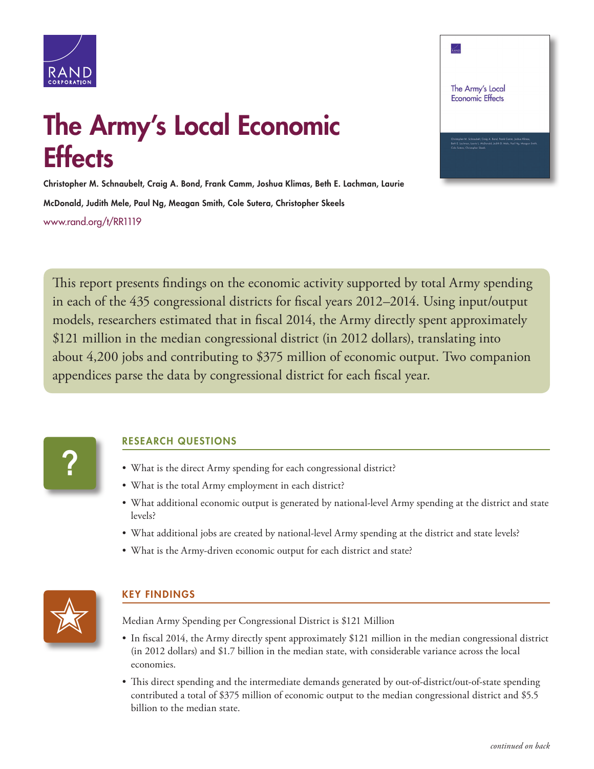

## $\frac{1}{\sqrt{2}}$ The Army's Local **Economic Effects**

## The Army's Local Economic **Effects**

Christopher M. Schnaubelt, Craig A. Bond, Frank Camm, Joshua Klimas, Beth E. Lachman, Laurie McDonald, Judith Mele, Paul Ng, Meagan Smith, Cole Sutera, Christopher Skeels [www.rand.org/t/RR1119](http://www.rand.org/t/RR1119)

This report presents findings on the economic activity supported by total Army spending in each of the 435 congressional districts for fiscal years 2012–2014. Using input/output models, researchers estimated that in fiscal 2014, the Army directly spent approximately \$121 million in the median congressional district (in 2012 dollars), translating into about 4,200 jobs and contributing to \$375 million of economic output. Two companion appendices parse the data by congressional district for each fiscal year.



## RESEARCH QUESTIONS

- What is the direct Army spending for each congressional district?
- What is the total Army employment in each district?
- What additional economic output is generated by national-level Army spending at the district and state levels?
- What additional jobs are created by national-level Army spending at the district and state levels?
- What is the Army-driven economic output for each district and state?



## KEY FINDINGS

Median Army Spending per Congressional District is \$121 Million

- In fiscal 2014, the Army directly spent approximately \$121 million in the median congressional district (in 2012 dollars) and \$1.7 billion in the median state, with considerable variance across the local economies.
- This direct spending and the intermediate demands generated by out-of-district/out-of-state spending contributed a total of \$375 million of economic output to the median congressional district and \$5.5 billion to the median state.